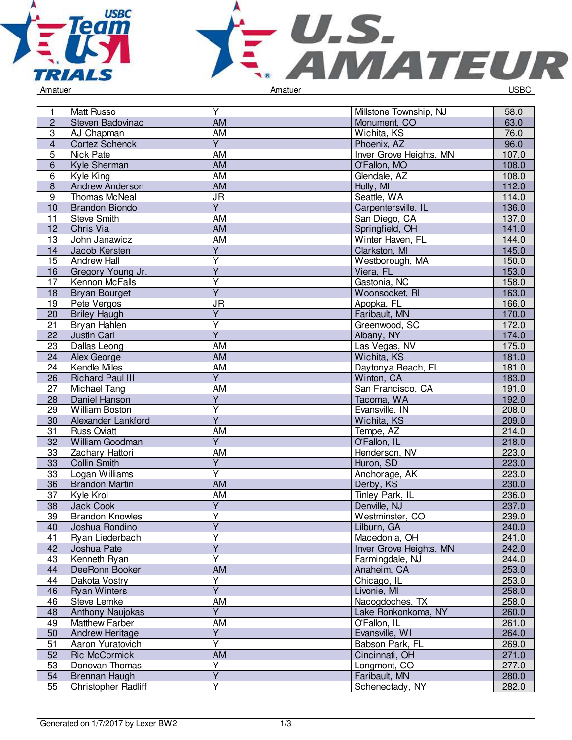



| 1               | <b>Matt Russo</b>       | $\overline{Y}$          | Millstone Township, NJ  | 58.0  |
|-----------------|-------------------------|-------------------------|-------------------------|-------|
| $\overline{c}$  | Steven Badovinac        | <b>AM</b>               | Monument, CO            | 63.0  |
| $\overline{3}$  | AJ Chapman              | <b>AM</b>               | Wichita, KS             | 76.0  |
| $\overline{4}$  | <b>Cortez Schenck</b>   | $\overline{Y}$          | Phoenix, AZ             | 96.0  |
| $\overline{5}$  | Nick Pate               | <b>AM</b>               | Inver Grove Heights, MN | 107.0 |
| 6               | Kyle Sherman            | <b>AM</b>               | O'Fallon, MO            | 108.0 |
| 6               | Kyle King               | <b>AM</b>               | Glendale, AZ            | 108.0 |
| $\bf 8$         | <b>Andrew Anderson</b>  | <b>AM</b>               | Holly, MI               | 112.0 |
| 9               | Thomas McNeal           | <b>JR</b>               | Seattle, WA             | 114.0 |
| 10              | <b>Brandon Biondo</b>   | $\overline{Y}$          | Carpentersville, IL     | 136.0 |
| 11              | Steve Smith             | AM                      | San Diego, CA           | 137.0 |
| 12              | Chris Via               | <b>AM</b>               | Springfield, OH         | 141.0 |
| 13              | John Janawicz           | <b>AM</b>               | Winter Haven, FL        | 144.0 |
| 14              | Jacob Kersten           | $\overline{Y}$          | Clarkston, MI           | 145.0 |
| $\overline{15}$ | Andrew Hall             | $\overline{\mathsf{Y}}$ | Westborough, MA         | 150.0 |
| 16              | Gregory Young Jr.       | $\overline{Y}$          | Viera, FL               | 153.0 |
| 17              | Kennon McFalls          | Υ                       | Gastonia, NC            | 158.0 |
| 18              | <b>Bryan Bourget</b>    | $\overline{Y}$          | Woonsocket, RI          | 163.0 |
| 19              | Pete Vergos             | <b>JR</b>               | Apopka, FL              | 166.0 |
| 20              | <b>Briley Haugh</b>     | $\overline{Y}$          | Faribault, MN           | 170.0 |
|                 |                         | Ÿ                       |                         |       |
| 21              | Bryan Hahlen            | $\overline{Y}$          | Greenwood, SC           | 172.0 |
| 22              | Justin Carl             |                         | Albany, NY              | 174.0 |
| 23              | Dallas Leong            | <b>AM</b>               | Las Vegas, NV           | 175.0 |
| 24              | Alex George             | <b>AM</b>               | Wichita, KS             | 181.0 |
| 24              | Kendle Miles            | <b>AM</b>               | Daytonya Beach, FL      | 181.0 |
| 26              | <b>Richard Paul III</b> | $\overline{\mathsf{Y}}$ | Winton, CA              | 183.0 |
| 27              | Michael Tang            | AM                      | San Francisco, CA       | 191.0 |
| 28              | Daniel Hanson           | $\overline{Y}$          | Tacoma, WA              | 192.0 |
| 29              | <b>William Boston</b>   | Υ                       | Evansville, IN          | 208.0 |
| 30              | Alexander Lankford      | $\overline{Y}$          | Wichita, KS             | 209.0 |
| $\overline{31}$ | <b>Russ Oviatt</b>      | <b>AM</b>               | Tempe, AZ               | 214.0 |
| 32              | William Goodman         | $\overline{Y}$          | O'Fallon, IL            | 218.0 |
| 33              | Zachary Hattori         | <b>AM</b>               | Henderson, NV           | 223.0 |
| 33              | <b>Collin Smith</b>     | $\overline{\mathsf{Y}}$ | Huron, SD               | 223.0 |
| 33              | Logan Williams          | $\overline{\mathsf{Y}}$ | Anchorage, AK           | 223.0 |
| 36              | <b>Brandon Martin</b>   | <b>AM</b>               | Derby, KS               | 230.0 |
| 37              | Kyle Krol               | <b>AM</b>               | Tinley Park, IL         | 236.0 |
| 38              | <b>Jack Cook</b>        | $\overline{Y}$          | Denville, NJ            | 237.0 |
| 39              | <b>Brandon Knowles</b>  | Υ                       | Westminster, CO         | 239.0 |
| 40              | Joshua Rondino          | $\overline{\mathsf{Y}}$ | Lilburn, GA             | 240.0 |
| 41              | Ryan Liederbach         | Ÿ                       | Macedonia, OH           | 241.0 |
| 42              | Joshua Pate             | $\overline{\mathsf{Y}}$ | Inver Grove Heights, MN | 242.0 |
| 43              | Kenneth Ryan            | $\overline{\mathsf{Y}}$ | Farmingdale, NJ         | 244.0 |
| 44              | DeeRonn Booker          | AM                      | Anaheim, CA             | 253.0 |
| 44              | Dakota Vostry           | $\overline{\mathsf{Y}}$ | Chicago, IL             | 253.0 |
| 46              | <b>Ryan Winters</b>     | $\overline{\mathsf{Y}}$ | Livonie, MI             | 258.0 |
| 46              | Steve Lemke             | AM                      | Nacogdoches, TX         | 258.0 |
| 48              | Anthony Naujokas        | $\overline{Y}$          | Lake Ronkonkoma, NY     | 260.0 |
| 49              | <b>Matthew Farber</b>   | AM                      | O'Fallon, IL            | 261.0 |
| 50              | <b>Andrew Heritage</b>  | Υ                       | Evansville, WI          | 264.0 |
| 51              | Aaron Yuratovich        | $\overline{\mathsf{Y}}$ | Babson Park, FL         | 269.0 |
| 52              | <b>Ric McCormick</b>    | $\overline{AM}$         | Cincinnati, OH          | 271.0 |
| 53              | Donovan Thomas          | Υ                       | Longmont, CO            | 277.0 |
| 54              | Brennan Haugh           | $\overline{\mathsf{Y}}$ | Faribault, MN           | 280.0 |
| 55              | Christopher Radliff     | $\overline{\mathsf{Y}}$ | Schenectady, NY         | 282.0 |
|                 |                         |                         |                         |       |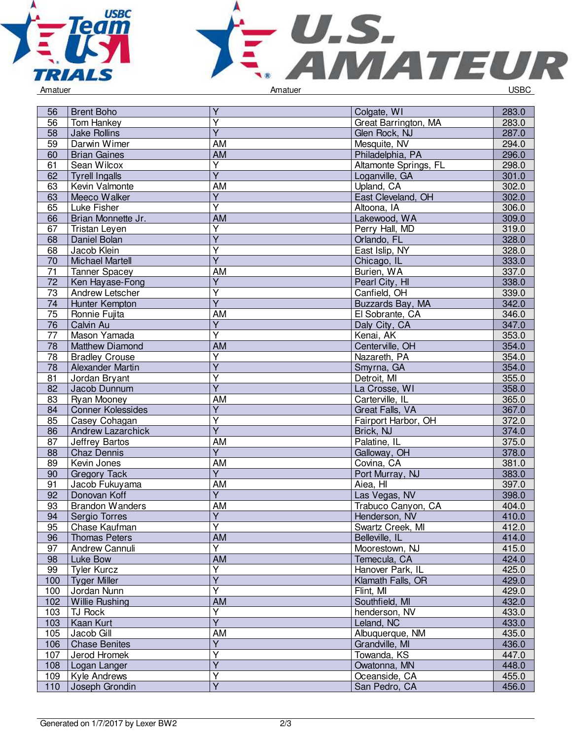



| 56              | <b>Brent Boho</b>              | Y                       | Colgate, WI           | 283.0 |
|-----------------|--------------------------------|-------------------------|-----------------------|-------|
| 56              | Tom Hankey                     | $\overline{\mathsf{Y}}$ | Great Barrington, MA  | 283.0 |
| 58              | Jake Rollins                   | $\overline{Y}$          | Glen Rock, NJ         | 287.0 |
| 59              | Darwin Wimer                   | <b>AM</b>               | Mesquite, NV          | 294.0 |
| 60              | <b>Brian Gaines</b>            | AM                      | Philadelphia, PA      | 296.0 |
| 61              | Sean Wilcox                    | $\overline{Y}$          | Altamonte Springs, FL | 298.0 |
| 62              | <b>Tyrell Ingalls</b>          | $\overline{\mathsf{Y}}$ | Loganville, GA        | 301.0 |
| 63              | Kevin Valmonte                 | AM                      | Upland, CA            | 302.0 |
| 63              | Meeco Walker                   | $\overline{Y}$          | East Cleveland, OH    | 302.0 |
| 65              | Luke Fisher                    | $\overline{Y}$          | Altoona, IA           | 306.0 |
| 66              | Brian Monnette Jr.             | <b>AM</b>               | Lakewood, WA          | 309.0 |
| 67              | Tristan Leyen                  | $\overline{\mathsf{Y}}$ | Perry Hall, MD        | 319.0 |
| 68              | Daniel Bolan                   | $\overline{Y}$          | Orlando, FL           | 328.0 |
| 68              | Jacob Klein                    | $\overline{\mathsf{Y}}$ | East Islip, NY        | 328.0 |
| 70              | <b>Michael Martell</b>         | $\overline{Y}$          | Chicago, IL           | 333.0 |
| 71              | <b>Tanner Spacey</b>           | AM                      | Burien, WA            | 337.0 |
| 72              | Ken Hayase-Fong                | Υ                       | Pearl City, HI        | 338.0 |
| 73              | Andrew Letscher                | $\overline{\mathsf{Y}}$ | Canfield, OH          | 339.0 |
| 74              | Hunter Kempton                 | $\overline{Y}$          | Buzzards Bay, MA      | 342.0 |
| 75              | Ronnie Fujita                  | AM                      | El Sobrante, CA       | 346.0 |
| 76              | Calvin Au                      | $\overline{\mathsf{Y}}$ | Daly City, CA         | 347.0 |
| $\overline{77}$ | Mason Yamada                   | $\overline{\mathsf{Y}}$ | Kenai, AK             | 353.0 |
| $\overline{78}$ | <b>Matthew Diamond</b>         | $\overline{AM}$         | Centerville, OH       | 354.0 |
| 78              | <b>Bradley Crouse</b>          | $\overline{Y}$          | Nazareth, PA          | 354.0 |
| 78              | Alexander Martin               | $\overline{\mathsf{Y}}$ | Smyrna, GA            | 354.0 |
| 81              | Jordan Bryant                  | Y                       | Detroit, MI           | 355.0 |
| 82              | Jacob Dunnum                   | $\overline{Y}$          | La Crosse, WI         | 358.0 |
| 83              | Ryan Mooney                    | AM                      | Carterville, IL       | 365.0 |
| 84              | <b>Conner Kolessides</b>       | $\overline{Y}$          | Great Falls, VA       | 367.0 |
| 85              | Casey Cohagan                  | $\overline{\mathsf{Y}}$ | Fairport Harbor, OH   | 372.0 |
| 86              | <b>Andrew Lazarchick</b>       | $\overline{Y}$          | Brick, NJ             | 374.0 |
| 87              | Jeffrey Bartos                 | <b>AM</b>               | Palatine, IL          | 375.0 |
| 88              | Chaz Dennis                    | $\overline{Y}$          | Galloway, OH          | 378.0 |
| 89              | Kevin Jones                    | AM                      | Covina, CA            | 381.0 |
|                 |                                | $\overline{Y}$          | Port Murray, NJ       | 383.0 |
| 90<br>91        | <b>Gregory Tack</b>            | <b>AM</b>               | Aiea, HI              | 397.0 |
| 92              | Jacob Fukuyama<br>Donovan Koff | $\overline{Y}$          |                       | 398.0 |
| 93              | <b>Brandon Wanders</b>         | <b>AM</b>               | Las Vegas, NV         |       |
| 94              |                                | $\overline{Y}$          | Trabuco Canyon, CA    | 404.0 |
|                 | Sergio Torres                  |                         | Henderson, NV         | 410.0 |
| 95              | Chase Kaufman                  | Ÿ<br>AM                 | Swartz Creek, MI      | 412.0 |
| 96              | <b>Thomas Peters</b>           | $\overline{Y}$          | Belleville, IL        | 414.0 |
| 97              | Andrew Cannuli                 |                         | Moorestown, NJ        | 415.0 |
| 98              | Luke Bow                       | <b>AM</b>               | Temecula, CA          | 424.0 |
| 99              | <b>Tyler Kurcz</b>             | Y                       | Hanover Park, IL      | 425.0 |
| 100             | <b>Tyger Miller</b>            | $\overline{Y}$          | Klamath Falls, OR     | 429.0 |
| 100             | Jordan Nunn                    | $\overline{Y}$          | Flint, MI             | 429.0 |
| 102             | <b>Willie Rushing</b>          | AM                      | Southfield, MI        | 432.0 |
| 103             | TJ Rock                        | Υ                       | henderson, NV         | 433.0 |
| 103             | Kaan Kurt                      | $\overline{Y}$          | Leland, NC            | 433.0 |
| 105             | Jacob Gill                     | AM                      | Albuquerque, NM       | 435.0 |
| 106             | <b>Chase Benites</b>           | $\overline{Y}$          | Grandville, MI        | 436.0 |
| 107             | Jerod Hromek                   | Υ                       | Towanda, KS           | 447.0 |
| 108             | Logan Langer                   | $\overline{Y}$          | Owatonna, MN          | 448.0 |
| 109             | Kyle Andrews                   | $\overline{Y}$          | Oceanside, CA         | 455.0 |
| 110             | Joseph Grondin                 | $\overline{Y}$          | San Pedro, CA         | 456.0 |